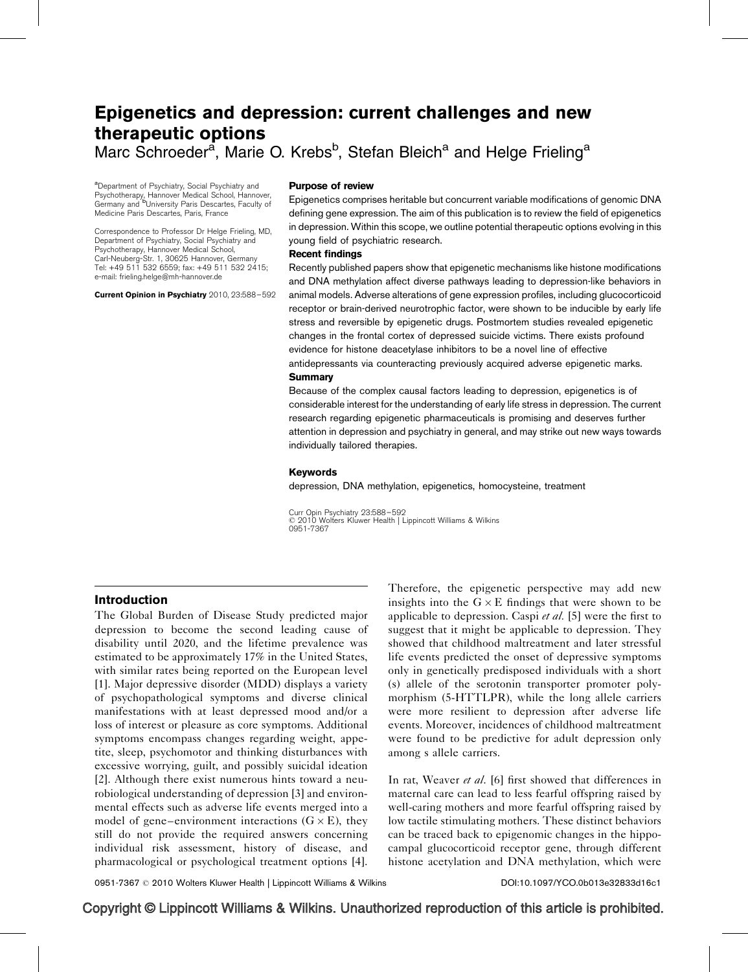# Epigenetics and depression: current challenges and new therapeutic options Marc Schroeder<sup>a</sup>, Marie O. Krebs<sup>b</sup>, Stefan Bleich<sup>a</sup> and Helge Frieling<sup>a</sup>

<sup>a</sup>Department of Psychiatry, Social Psychiatry and Psychotherapy, Hannover Medical School, Hannover,<br>Germany and <sup>b</sup>University Paris Descartes, Faculty of Medicine Paris Descartes, Paris, France

Correspondence to Professor Dr Helge Frieling, MD, Department of Psychiatry, Social Psychiatry and Psychotherapy, Hannover Medical School, Carl-Neuberg-Str. 1, 30625 Hannover, Germany Tel: +49 511 532 6559; fax: +49 511 532 2415; e-mail: [frieling.helge@mh-hannover.de](mailto:frieling.helge@mh-hannover.de)

Current Opinion in Psychiatry 2010, 23:588–592

#### Purpose of review

Epigenetics comprises heritable but concurrent variable modifications of genomic DNA defining gene expression. The aim of this publication is to review the field of epigenetics in depression. Within this scope, we outline potential therapeutic options evolving in this young field of psychiatric research.

#### Recent findings

Recently published papers show that epigenetic mechanisms like histone modifications and DNA methylation affect diverse pathways leading to depression-like behaviors in animal models. Adverse alterations of gene expression profiles, including glucocorticoid receptor or brain-derived neurotrophic factor, were shown to be inducible by early life stress and reversible by epigenetic drugs. Postmortem studies revealed epigenetic changes in the frontal cortex of depressed suicide victims. There exists profound evidence for histone deacetylase inhibitors to be a novel line of effective antidepressants via counteracting previously acquired adverse epigenetic marks. **Summary** 

Because of the complex causal factors leading to depression, epigenetics is of considerable interest for the understanding of early life stress in depression. The current research regarding epigenetic pharmaceuticals is promising and deserves further attention in depression and psychiatry in general, and may strike out new ways towards individually tailored therapies.

#### Keywords

depression, DNA methylation, epigenetics, homocysteine, treatment

Curr Opin Psychiatry 23:588–592 - 2010 Wolters Kluwer Health | Lippincott Williams & Wilkins 0951-7367

#### Introduction

The Global Burden of Disease Study predicted major depression to become the second leading cause of disability until 2020, and the lifetime prevalence was estimated to be approximately 17% in the United States, with similar rates being reported on the European level [\[1\]](#page-4-0). Major depressive disorder (MDD) displays a variety of psychopathological symptoms and diverse clinical manifestations with at least depressed mood and/or a loss of interest or pleasure as core symptoms. Additional symptoms encompass changes regarding weight, appetite, sleep, psychomotor and thinking disturbances with excessive worrying, guilt, and possibly suicidal ideation [\[2\]](#page-4-0). Although there exist numerous hints toward a neurobiological understanding of depression [\[3\]](#page-4-0) and environmental effects such as adverse life events merged into a model of gene–environment interactions  $(G \times E)$ , they still do not provide the required answers concerning individual risk assessment, history of disease, and pharmacological or psychological treatment options [\[4\]](#page-4-0). Therefore, the epigenetic perspective may add new insights into the  $G \times E$  findings that were shown to be applicable to depression. Caspi et al.  $[5]$  were the first to suggest that it might be applicable to depression. They showed that childhood maltreatment and later stressful life events predicted the onset of depressive symptoms only in genetically predisposed individuals with a short (s) allele of the serotonin transporter promoter polymorphism (5-HTTLPR), while the long allele carriers were more resilient to depression after adverse life events. Moreover, incidences of childhood maltreatment were found to be predictive for adult depression only among s allele carriers.

In rat, Weaver *et al.* [\[6\]](#page-4-0) first showed that differences in maternal care can lead to less fearful offspring raised by well-caring mothers and more fearful offspring raised by low tactile stimulating mothers. These distinct behaviors can be traced back to epigenomic changes in the hippocampal glucocorticoid receptor gene, through different histone acetylation and DNA methylation, which were

0951-7367 © 2010 Wolters Kluwer Health | Lippincott Williams & Wilkins DOI:[10.1097/YCO.0b013e32833d16c1](http://dx.doi.org/10.1097/YCO.0b013e32833d16c1)

## Copyright © Lippincott Williams & Wilkins. Unauthorized reproduction of this article is prohibited.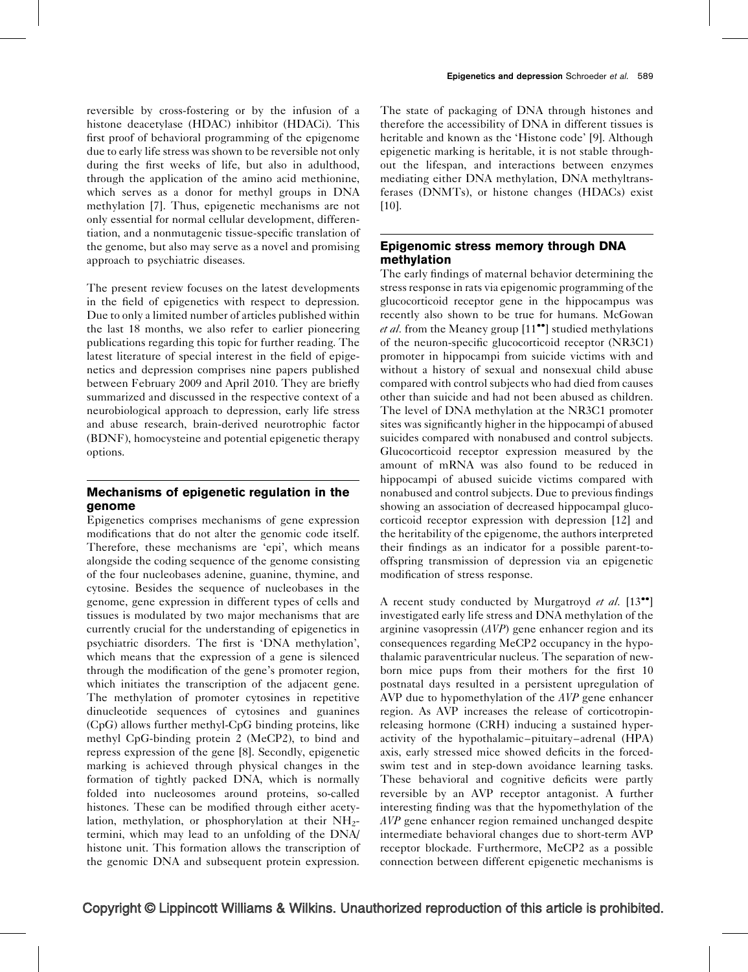reversible by cross-fostering or by the infusion of a histone deacetylase (HDAC) inhibitor (HDACi). This first proof of behavioral programming of the epigenome due to early life stress was shown to be reversible not only during the first weeks of life, but also in adulthood, through the application of the amino acid methionine, which serves as a donor for methyl groups in DNA methylation [\[7\].](#page-4-0) Thus, epigenetic mechanisms are not only essential for normal cellular development, differentiation, and a nonmutagenic tissue-specific translation of the genome, but also may serve as a novel and promising approach to psychiatric diseases.

The present review focuses on the latest developments in the field of epigenetics with respect to depression. Due to only a limited number of articles published within the last 18 months, we also refer to earlier pioneering publications regarding this topic for further reading. The latest literature of special interest in the field of epigenetics and depression comprises nine papers published between February 2009 and April 2010. They are briefly summarized and discussed in the respective context of a neurobiological approach to depression, early life stress and abuse research, brain-derived neurotrophic factor (BDNF), homocysteine and potential epigenetic therapy options.

## Mechanisms of epigenetic regulation in the genome

Epigenetics comprises mechanisms of gene expression modifications that do not alter the genomic code itself. Therefore, these mechanisms are 'epi', which means alongside the coding sequence of the genome consisting of the four nucleobases adenine, guanine, thymine, and cytosine. Besides the sequence of nucleobases in the genome, gene expression in different types of cells and tissues is modulated by two major mechanisms that are currently crucial for the understanding of epigenetics in psychiatric disorders. The first is 'DNA methylation', which means that the expression of a gene is silenced through the modification of the gene's promoter region, which initiates the transcription of the adjacent gene. The methylation of promoter cytosines in repetitive dinucleotide sequences of cytosines and guanines (CpG) allows further methyl-CpG binding proteins, like methyl CpG-binding protein 2 (MeCP2), to bind and repress expression of the gene [\[8\]](#page-4-0). Secondly, epigenetic marking is achieved through physical changes in the formation of tightly packed DNA, which is normally folded into nucleosomes around proteins, so-called histones. These can be modified through either acetylation, methylation, or phosphorylation at their  $NH<sub>2</sub>$ termini, which may lead to an unfolding of the DNA/ histone unit. This formation allows the transcription of the genomic DNA and subsequent protein expression. The state of packaging of DNA through histones and therefore the accessibility of DNA in different tissues is heritable and known as the 'Histone code' [\[9\]](#page-4-0). Although epigenetic marking is heritable, it is not stable throughout the lifespan, and interactions between enzymes mediating either DNA methylation, DNA methyltransferases (DNMTs), or histone changes (HDACs) exist  $[10]$ .

## Epigenomic stress memory through DNA methylation

The early findings of maternal behavior determining the stress response in rats via epigenomic programming of the glucocorticoid receptor gene in the hippocampus was recently also shown to be true for humans. McGowan *et al.* from the Meaney group  $[11\bullet]$  $[11\bullet]$  $[11\bullet]$  studied methylations of the neuron-specific glucocorticoid receptor (NR3C1) promoter in hippocampi from suicide victims with and without a history of sexual and nonsexual child abuse compared with control subjects who had died from causes other than suicide and had not been abused as children. The level of DNA methylation at the NR3C1 promoter sites was significantly higher in the hippocampi of abused suicides compared with nonabused and control subjects. Glucocorticoid receptor expression measured by the amount of mRNA was also found to be reduced in hippocampi of abused suicide victims compared with nonabused and control subjects. Due to previous findings showing an association of decreased hippocampal glucocorticoid receptor expression with depression [\[12\]](#page-4-0) and the heritability of the epigenome, the authors interpreted their findings as an indicator for a possible parent-tooffspring transmission of depression via an epigenetic modification of stress response.

A recent study conducted by Murgatroyd et al.  $[13^{\bullet\bullet}]$  $[13^{\bullet\bullet}]$  $[13^{\bullet\bullet}]$ investigated early life stress and DNA methylation of the arginine vasopressin (AVP) gene enhancer region and its consequences regarding MeCP2 occupancy in the hypothalamic paraventricular nucleus. The separation of newborn mice pups from their mothers for the first 10 postnatal days resulted in a persistent upregulation of AVP due to hypomethylation of the AVP gene enhancer region. As AVP increases the release of corticotropinreleasing hormone (CRH) inducing a sustained hyperactivity of the hypothalamic–pituitary–adrenal (HPA) axis, early stressed mice showed deficits in the forcedswim test and in step-down avoidance learning tasks. These behavioral and cognitive deficits were partly reversible by an AVP receptor antagonist. A further interesting finding was that the hypomethylation of the AVP gene enhancer region remained unchanged despite intermediate behavioral changes due to short-term AVP receptor blockade. Furthermore, MeCP2 as a possible connection between different epigenetic mechanisms is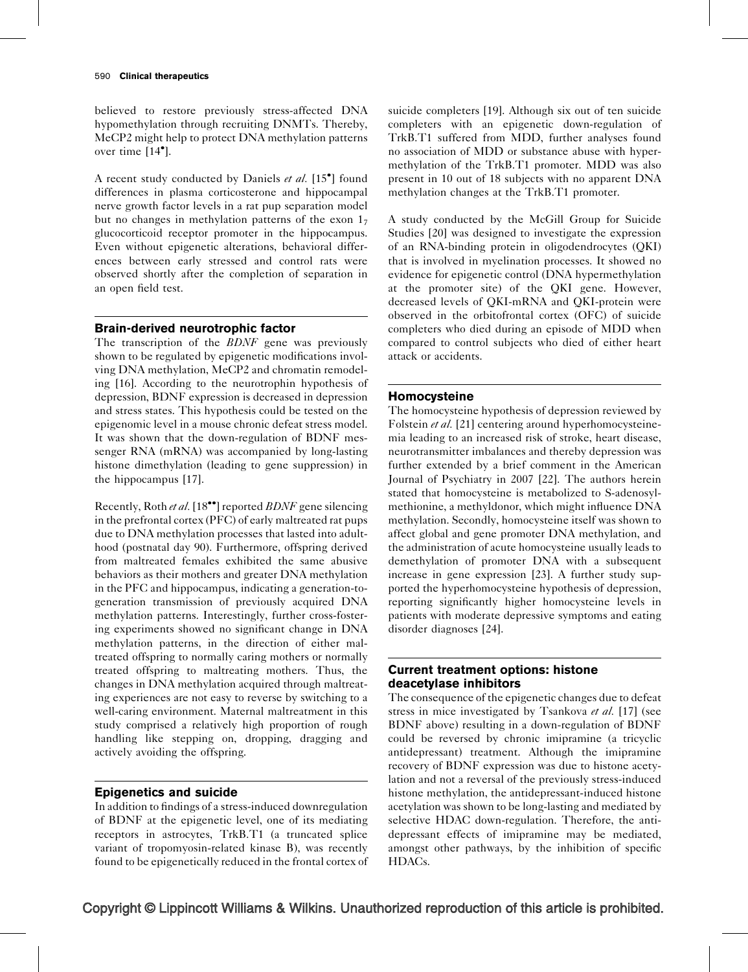believed to restore previously stress-affected DNA hypomethylation through recruiting DNMTs. Thereby, MeCP2 might help to protect DNA methylation patterns over time  $[14^{\bullet}]$  $[14^{\bullet}]$ .

A recent study conducted by Daniels et al. [\[15](#page-4-0)<sup>°</sup>[\]](#page-4-0) found differences in plasma corticosterone and hippocampal nerve growth factor levels in a rat pup separation model but no changes in methylation patterns of the exon  $1<sub>7</sub>$ glucocorticoid receptor promoter in the hippocampus. Even without epigenetic alterations, behavioral differences between early stressed and control rats were observed shortly after the completion of separation in an open field test.

## Brain-derived neurotrophic factor

The transcription of the *BDNF* gene was previously shown to be regulated by epigenetic modifications involving DNA methylation, MeCP2 and chromatin remodeling [\[16\]](#page-4-0). According to the neurotrophin hypothesis of depression, BDNF expression is decreased in depression and stress states. This hypothesis could be tested on the epigenomic level in a mouse chronic defeat stress model. It was shown that the down-regulation of BDNF messenger RNA (mRNA) was accompanied by long-lasting histone dimethylation (leading to gene suppression) in the hippocampus [\[17\]](#page-4-0).

Recently, Roth et al. [\[18](#page-4-0)<sup>\*\*</sup>[\]](#page-4-0) reported *BDNF* gene silencing in the prefrontal cortex (PFC) of early maltreated rat pups due to DNA methylation processes that lasted into adulthood (postnatal day 90). Furthermore, offspring derived from maltreated females exhibited the same abusive behaviors as their mothers and greater DNA methylation in the PFC and hippocampus, indicating a generation-togeneration transmission of previously acquired DNA methylation patterns. Interestingly, further cross-fostering experiments showed no significant change in DNA methylation patterns, in the direction of either maltreated offspring to normally caring mothers or normally treated offspring to maltreating mothers. Thus, the changes in DNA methylation acquired through maltreating experiences are not easy to reverse by switching to a well-caring environment. Maternal maltreatment in this study comprised a relatively high proportion of rough handling like stepping on, dropping, dragging and actively avoiding the offspring.

## Epigenetics and suicide

In addition to findings of a stress-induced downregulation of BDNF at the epigenetic level, one of its mediating receptors in astrocytes, TrkB.T1 (a truncated splice variant of tropomyosin-related kinase B), was recently found to be epigenetically reduced in the frontal cortex of suicide completers [\[19\].](#page-4-0) Although six out of ten suicide completers with an epigenetic down-regulation of TrkB.T1 suffered from MDD, further analyses found no association of MDD or substance abuse with hypermethylation of the TrkB.T1 promoter. MDD was also present in 10 out of 18 subjects with no apparent DNA methylation changes at the TrkB.T1 promoter.

A study conducted by the McGill Group for Suicide Studies [\[20\]](#page-4-0) was designed to investigate the expression of an RNA-binding protein in oligodendrocytes (QKI) that is involved in myelination processes. It showed no evidence for epigenetic control (DNA hypermethylation at the promoter site) of the QKI gene. However, decreased levels of QKI-mRNA and QKI-protein were observed in the orbitofrontal cortex (OFC) of suicide completers who died during an episode of MDD when compared to control subjects who died of either heart attack or accidents.

## Homocysteine

The homocysteine hypothesis of depression reviewed by Folstein *et al.* [\[21\]](#page-4-0) centering around hyperhomocysteinemia leading to an increased risk of stroke, heart disease, neurotransmitter imbalances and thereby depression was further extended by a brief comment in the American Journal of Psychiatry in 2007 [\[22\].](#page-4-0) The authors herein stated that homocysteine is metabolized to S-adenosylmethionine, a methyldonor, which might influence DNA methylation. Secondly, homocysteine itself was shown to affect global and gene promoter DNA methylation, and the administration of acute homocysteine usually leads to demethylation of promoter DNA with a subsequent increase in gene expression [\[23\].](#page-4-0) A further study supported the hyperhomocysteine hypothesis of depression, reporting significantly higher homocysteine levels in patients with moderate depressive symptoms and eating disorder diagnoses [\[24\]](#page-4-0).

## Current treatment options: histone deacetylase inhibitors

The consequence of the epigenetic changes due to defeat stress in mice investigated by Tsankova et al. [\[17\]](#page-4-0) (see BDNF above) resulting in a down-regulation of BDNF could be reversed by chronic imipramine (a tricyclic antidepressant) treatment. Although the imipramine recovery of BDNF expression was due to histone acetylation and not a reversal of the previously stress-induced histone methylation, the antidepressant-induced histone acetylation was shown to be long-lasting and mediated by selective HDAC down-regulation. Therefore, the antidepressant effects of imipramine may be mediated, amongst other pathways, by the inhibition of specific HDACs.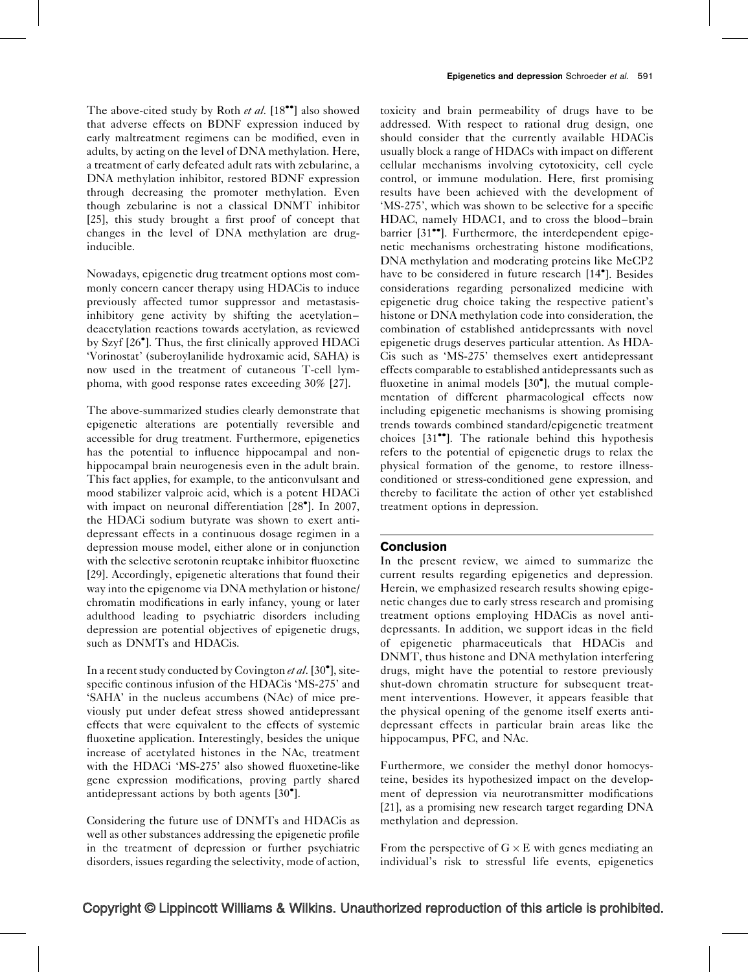The above-cited study by Roth et al.  $[18\bullet\bullet]$  $[18\bullet\bullet]$  $[18\bullet\bullet]$  also showed that adverse effects on BDNF expression induced by early maltreatment regimens can be modified, even in adults, by acting on the level of DNA methylation. Here, a treatment of early defeated adult rats with zebularine, a DNA methylation inhibitor, restored BDNF expression through decreasing the promoter methylation. Even though zebularine is not a classical DNMT inhibitor [\[25\]](#page-4-0), this study brought a first proof of concept that changes in the level of DNA methylation are druginducible.

Nowadays, epigenetic drug treatment options most commonly concern cancer therapy using HDACis to induce previously affected tumor suppressor and metastasisinhibitory gene activity by shifting the acetylation– deacetylation reactions towards acetylation, as reviewed by Szyf [\[26](#page-4-0) [\]](#page-4-0). Thus, the first clinically approved HDACi 'Vorinostat' (suberoylanilide hydroxamic acid, SAHA) is now used in the treatment of cutaneous T-cell lymphoma, with good response rates exceeding 30% [\[27\].](#page-4-0)

The above-summarized studies clearly demonstrate that epigenetic alterations are potentially reversible and accessible for drug treatment. Furthermore, epigenetics has the potential to influence hippocampal and nonhippocampal brain neurogenesis even in the adult brain. This fact applies, for example, to the anticonvulsant and mood stabilizer valproic acid, which is a potent HDACi with impact on neuronal differentiation [\[28](#page-4-0)°[\].](#page-4-0) In 2007, the HDACi sodium butyrate was shown to exert antidepressant effects in a continuous dosage regimen in a depression mouse model, either alone or in conjunction with the selective serotonin reuptake inhibitor fluoxetine [\[29\]](#page-4-0). Accordingly, epigenetic alterations that found their way into the epigenome via DNA methylation or histone/ chromatin modifications in early infancy, young or later adulthood leading to psychiatric disorders including depression are potential objectives of epigenetic drugs, such as DNMTs and HDACis.

In a recent study conducted by Covington et al. [\[30](#page-4-0)<sup>°</sup>[\]](#page-4-0), sitespecific continous infusion of the HDACis 'MS-275' and 'SAHA' in the nucleus accumbens (NAc) of mice previously put under defeat stress showed antidepressant effects that were equivalent to the effects of systemic fluoxetine application. Interestingly, besides the unique increase of acetylated histones in the NAc, treatment with the HDACi 'MS-275' also showed fluoxetine-like gene expression modifications, proving partly shared antidepressant actions by both agents [\[30](#page-4-0)<sup>°</sup>[\].](#page-4-0)

Considering the future use of DNMTs and HDACis as well as other substances addressing the epigenetic profile in the treatment of depression or further psychiatric disorders, issues regarding the selectivity, mode of action,

toxicity and brain permeability of drugs have to be addressed. With respect to rational drug design, one should consider that the currently available HDACis usually block a range of HDACs with impact on different cellular mechanisms involving cytotoxicity, cell cycle control, or immune modulation. Here, first promising results have been achieved with the development of 'MS-275', which was shown to be selective for a specific HDAC, namely HDAC1, and to cross the blood–brain barrier  $[31$ <sup> $\bullet$ </sup>. Furthermore, the interdependent epigenetic mechanisms orchestrating histone modifications, DNA methylation and moderating proteins like MeCP2 have to be considered in future research [\[14](#page-4-0)<sup>°</sup>[\]](#page-4-0). Besides considerations regarding personalized medicine with epigenetic drug choice taking the respective patient's histone or DNA methylation code into consideration, the combination of established antidepressants with novel epigenetic drugs deserves particular attention. As HDA-Cis such as 'MS-275' themselves exert antidepressant effects comparable to established antidepressants such as fluoxetine in animal models [\[30](#page-4-0)<sup>°</sup>[\]](#page-4-0), the mutual complementation of different pharmacological effects now including epigenetic mechanisms is showing promising trends towards combined standard/epigenetic treatment choices  $[31$ <sup> $\bullet$ </sup>[\].](#page-4-0) The rationale behind this hypothesis refers to the potential of epigenetic drugs to relax the physical formation of the genome, to restore illnessconditioned or stress-conditioned gene expression, and thereby to facilitate the action of other yet established treatment options in depression.

#### Conclusion

In the present review, we aimed to summarize the current results regarding epigenetics and depression. Herein, we emphasized research results showing epigenetic changes due to early stress research and promising treatment options employing HDACis as novel antidepressants. In addition, we support ideas in the field of epigenetic pharmaceuticals that HDACis and DNMT, thus histone and DNA methylation interfering drugs, might have the potential to restore previously shut-down chromatin structure for subsequent treatment interventions. However, it appears feasible that the physical opening of the genome itself exerts antidepressant effects in particular brain areas like the hippocampus, PFC, and NAc.

Furthermore, we consider the methyl donor homocysteine, besides its hypothesized impact on the development of depression via neurotransmitter modifications [\[21\]](#page-4-0), as a promising new research target regarding DNA methylation and depression.

From the perspective of  $G \times E$  with genes mediating an individual's risk to stressful life events, epigenetics